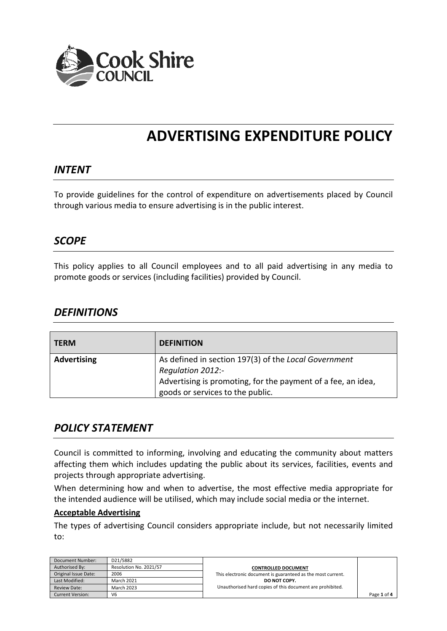

# **ADVERTISING EXPENDITURE POLICY**

#### *INTENT*

To provide guidelines for the control of expenditure on advertisements placed by Council through various media to ensure advertising is in the public interest.

#### *SCOPE*

This policy applies to all Council employees and to all paid advertising in any media to promote goods or services (including facilities) provided by Council.

#### *DEFINITIONS*

| <b>TERM</b>        | <b>DEFINITION</b>                                                                                                                                                             |
|--------------------|-------------------------------------------------------------------------------------------------------------------------------------------------------------------------------|
| <b>Advertising</b> | As defined in section 197(3) of the Local Government<br>Regulation 2012:-<br>Advertising is promoting, for the payment of a fee, an idea,<br>goods or services to the public. |

### *POLICY STATEMENT*

Council is committed to informing, involving and educating the community about matters affecting them which includes updating the public about its services, facilities, events and projects through appropriate advertising.

When determining how and when to advertise, the most effective media appropriate for the intended audience will be utilised, which may include social media or the internet.

#### **Acceptable Advertising**

The types of advertising Council considers appropriate include, but not necessarily limited to:

| Document Number:        | D21/5882               |                                                             |             |
|-------------------------|------------------------|-------------------------------------------------------------|-------------|
| Authorised By:          | Resolution No. 2021/57 | <b>CONTROLLED DOCUMENT</b>                                  |             |
| Original Issue Date:    | 2006                   | This electronic document is guaranteed as the most current. |             |
| Last Modified:          | <b>March 2021</b>      | DO NOT COPY.                                                |             |
| <b>Review Date:</b>     | <b>March 2023</b>      | Unauthorised hard copies of this document are prohibited.   |             |
| <b>Current Version:</b> | V <sub>6</sub>         |                                                             | Page 1 of 4 |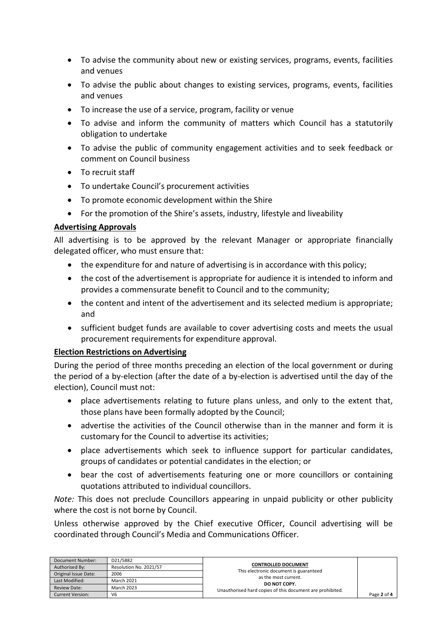- To advise the community about new or existing services, programs, events, facilities and venues
- To advise the public about changes to existing services, programs, events, facilities and venues
- To increase the use of a service, program, facility or venue
- To advise and inform the community of matters which Council has a statutorily obligation to undertake
- To advise the public of community engagement activities and to seek feedback or comment on Council business
- To recruit staff
- To undertake Council's procurement activities
- To promote economic development within the Shire
- For the promotion of the Shire's assets, industry, lifestyle and liveability

#### **Advertising Approvals**

All advertising is to be approved by the relevant Manager or appropriate financially delegated officer, who must ensure that:

- the expenditure for and nature of advertising is in accordance with this policy;
- the cost of the advertisement is appropriate for audience it is intended to inform and provides a commensurate benefit to Council and to the community;
- the content and intent of the advertisement and its selected medium is appropriate; and
- sufficient budget funds are available to cover advertising costs and meets the usual procurement requirements for expenditure approval.

#### **Election Restrictions on Advertising**

During the period of three months preceding an election of the local government or during the period of a by-election (after the date of a by-election is advertised until the day of the election), Council must not:

- place advertisements relating to future plans unless, and only to the extent that, those plans have been formally adopted by the Council;
- advertise the activities of the Council otherwise than in the manner and form it is customary for the Council to advertise its activities;
- place advertisements which seek to influence support for particular candidates, groups of candidates or potential candidates in the election; or
- bear the cost of advertisements featuring one or more councillors or containing quotations attributed to individual councillors.

*Note:* This does not preclude Councillors appearing in unpaid publicity or other publicity where the cost is not borne by Council.

Unless otherwise approved by the Chief executive Officer, Council advertising will be coordinated through Council's Media and Communications Officer.

| Document Number:        | D21/5882               |                                                                |             |
|-------------------------|------------------------|----------------------------------------------------------------|-------------|
| Authorised By:          | Resolution No. 2021/57 | <b>CONTROLLED DOCUMENT</b>                                     |             |
| Original Issue Date:    | 2006                   | This electronic document is guaranteed<br>as the most current. |             |
| Last Modified:          | <b>March 2021</b>      | DO NOT COPY.                                                   |             |
| <b>Review Date:</b>     | <b>March 2023</b>      | Unauthorised hard copies of this document are prohibited.      |             |
| <b>Current Version:</b> | V <sub>6</sub>         |                                                                | Page 2 of 4 |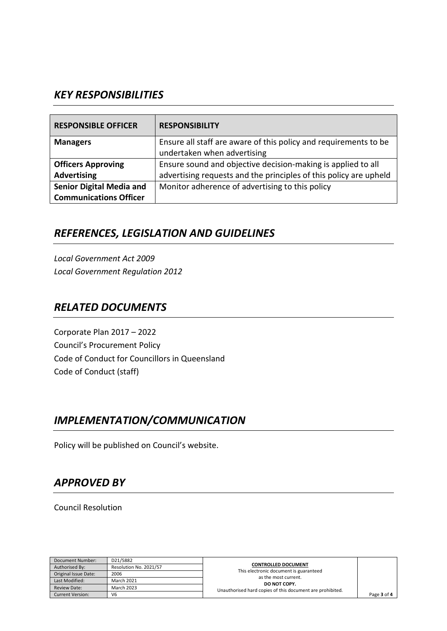## *KEY RESPONSIBILITIES*

| <b>RESPONSIBLE OFFICER</b>      | <b>RESPONSIBILITY</b>                                             |
|---------------------------------|-------------------------------------------------------------------|
| <b>Managers</b>                 | Ensure all staff are aware of this policy and requirements to be  |
|                                 | undertaken when advertising                                       |
| <b>Officers Approving</b>       | Ensure sound and objective decision-making is applied to all      |
| <b>Advertising</b>              | advertising requests and the principles of this policy are upheld |
| <b>Senior Digital Media and</b> | Monitor adherence of advertising to this policy                   |
| <b>Communications Officer</b>   |                                                                   |

# *REFERENCES, LEGISLATION AND GUIDELINES*

*Local Government Act 2009 Local Government Regulation 2012*

## *RELATED DOCUMENTS*

Corporate Plan 2017 – 2022 Council's Procurement Policy Code of Conduct for Councillors in Queensland Code of Conduct (staff)

# *IMPLEMENTATION/COMMUNICATION*

Policy will be published on Council's website.

# *APPROVED BY*

Council Resolution

| Document Number:        | D21/5882               |                                                                |             |
|-------------------------|------------------------|----------------------------------------------------------------|-------------|
| Authorised By:          | Resolution No. 2021/57 | <b>CONTROLLED DOCUMENT</b>                                     |             |
| Original Issue Date:    | 2006                   | This electronic document is guaranteed<br>as the most current. |             |
| Last Modified:          | March 2021             | DO NOT COPY.                                                   |             |
| <b>Review Date:</b>     | <b>March 2023</b>      | Unauthorised hard copies of this document are prohibited.      |             |
| <b>Current Version:</b> | V <sub>6</sub>         |                                                                | Page 3 of 4 |